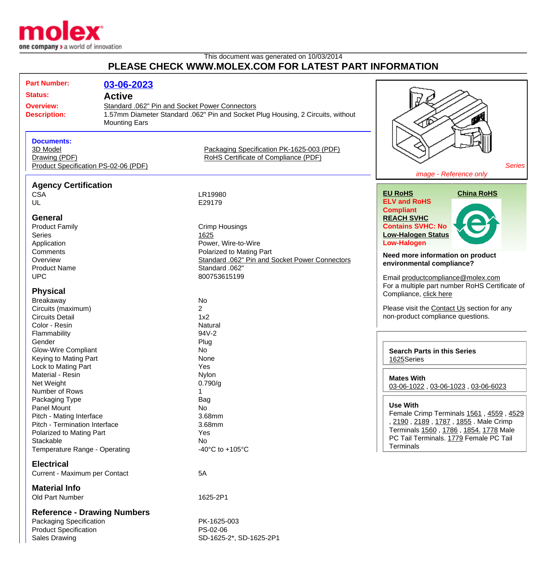

## This document was generated on 10/03/2014 **PLEASE CHECK WWW.MOLEX.COM FOR LATEST PART INFORMATION**

| <b>Part Number:</b>                   | 03-06-2023           |                                                                                 |                                                |
|---------------------------------------|----------------------|---------------------------------------------------------------------------------|------------------------------------------------|
|                                       |                      |                                                                                 |                                                |
| <b>Status:</b><br><b>Active</b>       |                      |                                                                                 |                                                |
| <b>Overview:</b>                      |                      | Standard .062" Pin and Socket Power Connectors                                  |                                                |
| <b>Description:</b>                   |                      | 1.57mm Diameter Standard .062" Pin and Socket Plug Housing, 2 Circuits, without | ீ                                              |
|                                       | <b>Mounting Ears</b> |                                                                                 | <b></b>                                        |
|                                       |                      |                                                                                 |                                                |
| <b>Documents:</b>                     |                      |                                                                                 |                                                |
| 3D Model                              |                      | Packaging Specification PK-1625-003 (PDF)                                       |                                                |
| Drawing (PDF)                         |                      | RoHS Certificate of Compliance (PDF)                                            |                                                |
| Product Specification PS-02-06 (PDF)  |                      | <b>Series</b><br>image - Reference only                                         |                                                |
|                                       |                      |                                                                                 |                                                |
| <b>Agency Certification</b>           |                      |                                                                                 | <b>EU RoHS</b><br><b>China RoHS</b>            |
| <b>CSA</b>                            |                      | LR19980                                                                         | <b>ELV and RoHS</b>                            |
| UL                                    |                      | E29179                                                                          | <b>Compliant</b>                               |
| <b>General</b>                        |                      |                                                                                 | <b>REACH SVHC</b>                              |
| <b>Product Family</b>                 |                      | <b>Crimp Housings</b>                                                           | <b>Contains SVHC: No</b>                       |
| Series                                |                      | 1625                                                                            | <b>Low-Halogen Status</b>                      |
| Application                           |                      | Power, Wire-to-Wire                                                             | <b>Low-Halogen</b>                             |
| Comments                              |                      | Polarized to Mating Part                                                        |                                                |
| Overview                              |                      | Standard .062" Pin and Socket Power Connectors                                  | Need more information on product               |
| <b>Product Name</b>                   |                      | Standard .062"                                                                  | environmental compliance?                      |
| <b>UPC</b>                            |                      | 800753615199                                                                    | Email productcompliance@molex.com              |
|                                       |                      |                                                                                 | For a multiple part number RoHS Certificate of |
| <b>Physical</b>                       |                      |                                                                                 | Compliance, click here                         |
| Breakaway                             |                      | No                                                                              |                                                |
| Circuits (maximum)                    |                      | $\overline{2}$                                                                  | Please visit the Contact Us section for any    |
| <b>Circuits Detail</b>                |                      | 1x2                                                                             | non-product compliance questions.              |
| Color - Resin                         |                      | Natural                                                                         |                                                |
| Flammability                          |                      | 94V-2                                                                           |                                                |
| Gender                                |                      | Plug                                                                            |                                                |
| <b>Glow-Wire Compliant</b>            |                      | No                                                                              | <b>Search Parts in this Series</b>             |
| Keying to Mating Part                 |                      | None                                                                            | 1625Series                                     |
| Lock to Mating Part                   |                      | Yes                                                                             |                                                |
| Material - Resin                      |                      | Nylon                                                                           | <b>Mates With</b>                              |
| Net Weight                            |                      | 0.790/g                                                                         | 03-06-1022, 03-06-1023, 03-06-6023             |
| Number of Rows                        |                      | 1                                                                               |                                                |
| Packaging Type                        |                      | Bag                                                                             | <b>Use With</b>                                |
| Panel Mount                           |                      | No                                                                              | Female Crimp Terminals 1561, 4559, 4529        |
| Pitch - Mating Interface              |                      | 3.68mm                                                                          | , 2190, 2189, 1787, 1855. Male Crimp           |
| Pitch - Termination Interface         |                      | 3.68mm                                                                          | Terminals 1560, 1786, 1854. 1778 Male          |
| Polarized to Mating Part<br>Stackable |                      | Yes                                                                             | PC Tail Terminals. 1779 Female PC Tail         |
| Temperature Range - Operating         |                      | No<br>-40 $^{\circ}$ C to +105 $^{\circ}$ C                                     | <b>Terminals</b>                               |
|                                       |                      |                                                                                 |                                                |
| <b>Electrical</b>                     |                      |                                                                                 |                                                |
| Current - Maximum per Contact         |                      | 5A                                                                              |                                                |
|                                       |                      |                                                                                 |                                                |
| <b>Material Info</b>                  |                      |                                                                                 |                                                |
| Old Part Number                       |                      | 1625-2P1                                                                        |                                                |
| <b>Reference - Drawing Numbers</b>    |                      |                                                                                 |                                                |

Packaging Specification **PK-1625-003** Product Specification PS-02-06

Sales Drawing Sales Drawing SD-1625-2\*, SD-1625-2P1